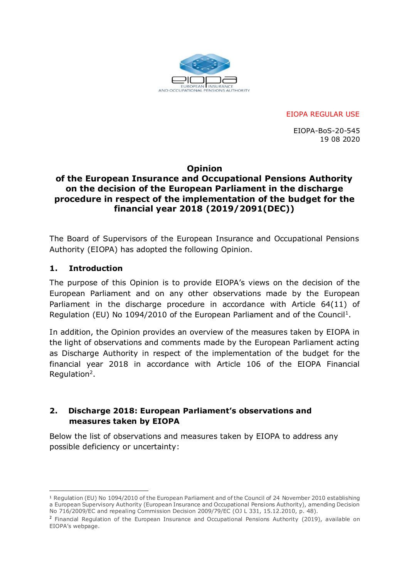

EIOPA REGULAR USE

EIOPA-BoS-20-545 19 08 2020

## **Opinion**

## **of the European Insurance and Occupational Pensions Authority on the decision of the European Parliament in the discharge procedure in respect of the implementation of the budget for the financial year 2018 (2019/2091(DEC))**

The Board of Supervisors of the European Insurance and Occupational Pensions Authority (EIOPA) has adopted the following Opinion.

## **1. Introduction**

-

The purpose of this Opinion is to provide EIOPA's views on the decision of the European Parliament and on any other observations made by the European Parliament in the discharge procedure in accordance with Article 64(11) of Regulation (EU) No 1094/2010 of the European Parliament and of the Council<sup>1</sup>.

In addition, the Opinion provides an overview of the measures taken by EIOPA in the light of observations and comments made by the European Parliament acting as Discharge Authority in respect of the implementation of the budget for the financial year 2018 in accordance with Article 106 of the EIOPA Financial Regulation<sup>2</sup>.

## **2. Discharge 2018: European Parliament's observations and measures taken by EIOPA**

Below the list of observations and measures taken by EIOPA to address any possible deficiency or uncertainty:

<sup>1</sup> Regulation (EU) No 1094/2010 of the European Parliament and of the Council of 24 November 2010 establishing a European Supervisory Authority (European Insurance and Occupational Pensions Authority), amending Decision No 716/2009/EC and repealing Commission Decision 2009/79/EC (OJ L 331, 15.12.2010, p. 48).

<sup>&</sup>lt;sup>2</sup> Financial Regulation of the European Insurance and Occupational Pensions Authority (2019), available on EIOPA's webpage.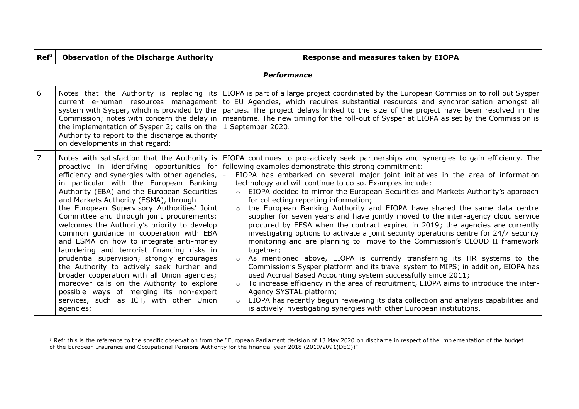| $\mathbf{Ref}^3$ | <b>Observation of the Discharge Authority</b>                                                                                                                                                                                                                                                                                                                                                                                                                                                                                                                                                                                                                                                                                                                                                                                                                  | Response and measures taken by EIOPA                                                                                                                                                                                                                                                                                                                                                                                                                                                                                                                                                                                                                                                                                                                                                                                                                                                                                                                                                                                                                                                                                                                                                                                                                                                                                                                                                                                                                     |  |
|------------------|----------------------------------------------------------------------------------------------------------------------------------------------------------------------------------------------------------------------------------------------------------------------------------------------------------------------------------------------------------------------------------------------------------------------------------------------------------------------------------------------------------------------------------------------------------------------------------------------------------------------------------------------------------------------------------------------------------------------------------------------------------------------------------------------------------------------------------------------------------------|----------------------------------------------------------------------------------------------------------------------------------------------------------------------------------------------------------------------------------------------------------------------------------------------------------------------------------------------------------------------------------------------------------------------------------------------------------------------------------------------------------------------------------------------------------------------------------------------------------------------------------------------------------------------------------------------------------------------------------------------------------------------------------------------------------------------------------------------------------------------------------------------------------------------------------------------------------------------------------------------------------------------------------------------------------------------------------------------------------------------------------------------------------------------------------------------------------------------------------------------------------------------------------------------------------------------------------------------------------------------------------------------------------------------------------------------------------|--|
|                  | <b>Performance</b>                                                                                                                                                                                                                                                                                                                                                                                                                                                                                                                                                                                                                                                                                                                                                                                                                                             |                                                                                                                                                                                                                                                                                                                                                                                                                                                                                                                                                                                                                                                                                                                                                                                                                                                                                                                                                                                                                                                                                                                                                                                                                                                                                                                                                                                                                                                          |  |
| 6                | Notes that the Authority is replacing its<br>current e-human resources management<br>system with Sysper, which is provided by the<br>Commission; notes with concern the delay in<br>the implementation of Sysper 2; calls on the<br>Authority to report to the discharge authority<br>on developments in that regard;                                                                                                                                                                                                                                                                                                                                                                                                                                                                                                                                          | EIOPA is part of a large project coordinated by the European Commission to roll out Sysper<br>to EU Agencies, which requires substantial resources and synchronisation amongst all<br>parties. The project delays linked to the size of the project have been resolved in the<br>meantime. The new timing for the roll-out of Sysper at EIOPA as set by the Commission is<br>1 September 2020.                                                                                                                                                                                                                                                                                                                                                                                                                                                                                                                                                                                                                                                                                                                                                                                                                                                                                                                                                                                                                                                           |  |
| $\overline{7}$   | Notes with satisfaction that the Authority is<br>proactive in identifying opportunities for<br>efficiency and synergies with other agencies,<br>in particular with the European Banking<br>Authority (EBA) and the European Securities<br>and Markets Authority (ESMA), through<br>the European Supervisory Authorities' Joint<br>Committee and through joint procurements;<br>welcomes the Authority's priority to develop<br>common guidance in cooperation with EBA<br>and ESMA on how to integrate anti-money<br>laundering and terrorist financing risks in<br>prudential supervision; strongly encourages<br>the Authority to actively seek further and<br>broader cooperation with all Union agencies;<br>moreover calls on the Authority to explore<br>possible ways of merging its non-expert<br>services, such as ICT, with other Union<br>agencies; | EIOPA continues to pro-actively seek partnerships and synergies to gain efficiency. The<br>following examples demonstrate this strong commitment:<br>EIOPA has embarked on several major joint initiatives in the area of information<br>technology and will continue to do so. Examples include:<br>EIOPA decided to mirror the European Securities and Markets Authority's approach<br>$\Omega$<br>for collecting reporting information;<br>the European Banking Authority and EIOPA have shared the same data centre<br>$\circ$<br>supplier for seven years and have jointly moved to the inter-agency cloud service<br>procured by EFSA when the contract expired in 2019; the agencies are currently<br>investigating options to activate a joint security operations centre for 24/7 security<br>monitoring and are planning to move to the Commission's CLOUD II framework<br>together;<br>As mentioned above, EIOPA is currently transferring its HR systems to the<br>$\circ$<br>Commission's Sysper platform and its travel system to MIPS; in addition, EIOPA has<br>used Accrual Based Accounting system successfully since 2011;<br>To increase efficiency in the area of recruitment, EIOPA aims to introduce the inter-<br>$\circ$<br>Agency SYSTAL platform;<br>EIOPA has recently begun reviewing its data collection and analysis capabilities and<br>$\circ$<br>is actively investigating synergies with other European institutions. |  |

 $\overline{a}$  $3$  Ref: this is the reference to the specific observation from the "European Parliament decision of 13 May 2020 on discharge in respect of the implementation of the budget of the European Insurance and Occupational Pensions Authority for the financial year 2018 (2019/2091(DEC))"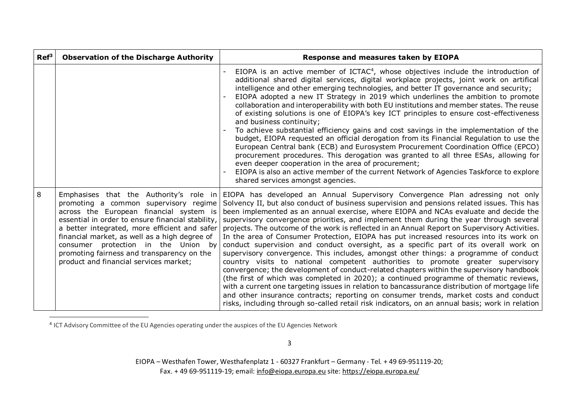| $Ref^3$ | <b>Observation of the Discharge Authority</b>                                                                                                                                                                                                                                                                                                                          | Response and measures taken by EIOPA                                                                                                                                                                                                                                                                                                                                                                                                                                                                                                                                                                                                                                                                                                                                                                                                                                                                                                                                                                                                                                                                                                                                                                                                                                                                                                                     |
|---------|------------------------------------------------------------------------------------------------------------------------------------------------------------------------------------------------------------------------------------------------------------------------------------------------------------------------------------------------------------------------|----------------------------------------------------------------------------------------------------------------------------------------------------------------------------------------------------------------------------------------------------------------------------------------------------------------------------------------------------------------------------------------------------------------------------------------------------------------------------------------------------------------------------------------------------------------------------------------------------------------------------------------------------------------------------------------------------------------------------------------------------------------------------------------------------------------------------------------------------------------------------------------------------------------------------------------------------------------------------------------------------------------------------------------------------------------------------------------------------------------------------------------------------------------------------------------------------------------------------------------------------------------------------------------------------------------------------------------------------------|
|         |                                                                                                                                                                                                                                                                                                                                                                        | EIOPA is an active member of ICTAC <sup>4</sup> , whose objectives include the introduction of<br>additional shared digital services, digital workplace projects, joint work on artifical<br>intelligence and other emerging technologies, and better IT governance and security;<br>EIOPA adopted a new IT Strategy in 2019 which underlines the ambition to promote<br>collaboration and interoperability with both EU institutions and member states. The reuse<br>of existing solutions is one of EIOPA's key ICT principles to ensure cost-effectiveness<br>and business continuity;<br>To achieve substantial efficiency gains and cost savings in the implementation of the<br>budget, EIOPA requested an official derogation from its Financial Regulation to use the<br>European Central bank (ECB) and Eurosystem Procurement Coordination Office (EPCO)<br>procurement procedures. This derogation was granted to all three ESAs, allowing for<br>even deeper cooperation in the area of procurement;<br>EIOPA is also an active member of the current Network of Agencies Taskforce to explore<br>shared services amongst agencies.                                                                                                                                                                                                          |
| 8       | promoting a common supervisory regime<br>across the European financial system is<br>essential in order to ensure financial stability,<br>a better integrated, more efficient and safer<br>financial market, as well as a high degree of<br>consumer protection in the Union by<br>promoting fairness and transparency on the<br>product and financial services market; | Emphasises that the Authority's role in EIOPA has developed an Annual Supervisory Convergence Plan adressing not only<br>Solvency II, but also conduct of business supervision and pensions related issues. This has<br>been implemented as an annual exercise, where EIOPA and NCAs evaluate and decide the<br>supervisory convergence priorities, and implement them during the year through several<br>projects. The outcome of the work is reflected in an Annual Report on Supervisory Activities.<br>In the area of Consumer Protection, EIOPA has put increased resources into its work on<br>conduct supervision and conduct oversight, as a specific part of its overall work on<br>supervisory convergence. This includes, amongst other things: a programme of conduct<br>country visits to national competent authorities to promote greater supervisory<br>convergence; the development of conduct-related chapters within the supervisory handbook<br>(the first of which was completed in 2020); a continued programme of thematic reviews,<br>with a current one targeting issues in relation to bancassurance distribution of mortgage life<br>and other insurance contracts; reporting on consumer trends, market costs and conduct<br>risks, including through so-called retail risk indicators, on an annual basis; work in relation |

<sup>&</sup>lt;sup>4</sup> ICT Advisory Committee of the EU Agencies operating under the auspices of the EU Agencies Network

 $\overline{a}$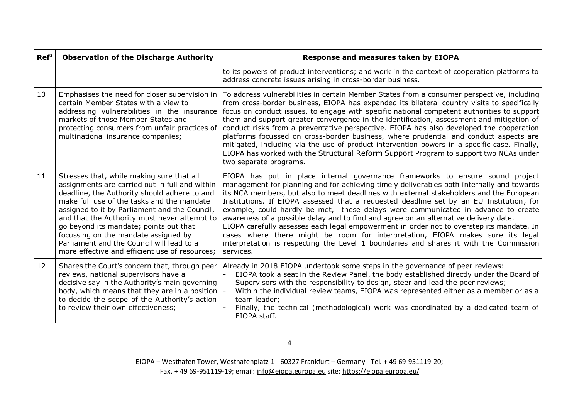| $Ref^3$ | <b>Observation of the Discharge Authority</b>                                                                                                                                                                                                                                                                                                                                                                                                                               | Response and measures taken by EIOPA                                                                                                                                                                                                                                                                                                                                                                                                                                                                                                                                                                                                                                                                                                                                                                                              |
|---------|-----------------------------------------------------------------------------------------------------------------------------------------------------------------------------------------------------------------------------------------------------------------------------------------------------------------------------------------------------------------------------------------------------------------------------------------------------------------------------|-----------------------------------------------------------------------------------------------------------------------------------------------------------------------------------------------------------------------------------------------------------------------------------------------------------------------------------------------------------------------------------------------------------------------------------------------------------------------------------------------------------------------------------------------------------------------------------------------------------------------------------------------------------------------------------------------------------------------------------------------------------------------------------------------------------------------------------|
|         |                                                                                                                                                                                                                                                                                                                                                                                                                                                                             | to its powers of product interventions; and work in the context of cooperation platforms to<br>address concrete issues arising in cross-border business.                                                                                                                                                                                                                                                                                                                                                                                                                                                                                                                                                                                                                                                                          |
| 10      | Emphasises the need for closer supervision in<br>certain Member States with a view to<br>addressing vulnerabilities in the insurance<br>markets of those Member States and<br>protecting consumers from unfair practices of<br>multinational insurance companies;                                                                                                                                                                                                           | To address vulnerabilities in certain Member States from a consumer perspective, including<br>from cross-border business, EIOPA has expanded its bilateral country visits to specifically<br>focus on conduct issues, to engage with specific national competent authorities to support<br>them and support greater convergence in the identification, assessment and mitigation of<br>conduct risks from a preventative perspective. EIOPA has also developed the cooperation<br>platforms focussed on cross-border business, where prudential and conduct aspects are<br>mitigated, including via the use of product intervention powers in a specific case. Finally,<br>EIOPA has worked with the Structural Reform Support Program to support two NCAs under<br>two separate programs.                                        |
| 11      | Stresses that, while making sure that all<br>assignments are carried out in full and within<br>deadline, the Authority should adhere to and<br>make full use of the tasks and the mandate<br>assigned to it by Parliament and the Council,<br>and that the Authority must never attempt to<br>go beyond its mandate; points out that<br>focussing on the mandate assigned by<br>Parliament and the Council will lead to a<br>more effective and efficient use of resources; | EIOPA has put in place internal governance frameworks to ensure sound project<br>management for planning and for achieving timely deliverables both internally and towards<br>its NCA members, but also to meet deadlines with external stakeholders and the European<br>Institutions. If EIOPA assessed that a requested deadline set by an EU Institution, for<br>example, could hardly be met, these delays were communicated in advance to create<br>awareness of a possible delay and to find and agree on an alternative delivery date.<br>EIOPA carefully assesses each legal empowerment in order not to overstep its mandate. In<br>cases where there might be room for interpretation, EIOPA makes sure its legal<br>interpretation is respecting the Level 1 boundaries and shares it with the Commission<br>services. |
| 12      | Shares the Court's concern that, through peer<br>reviews, national supervisors have a<br>decisive say in the Authority's main governing<br>body, which means that they are in a position<br>to decide the scope of the Authority's action<br>to review their own effectiveness;                                                                                                                                                                                             | Already in 2018 EIOPA undertook some steps in the governance of peer reviews:<br>EIOPA took a seat in the Review Panel, the body established directly under the Board of<br>Supervisors with the responsibility to design, steer and lead the peer reviews;<br>Within the individual review teams, EIOPA was represented either as a member or as a<br>team leader;<br>Finally, the technical (methodological) work was coordinated by a dedicated team of<br>EIOPA staff.                                                                                                                                                                                                                                                                                                                                                        |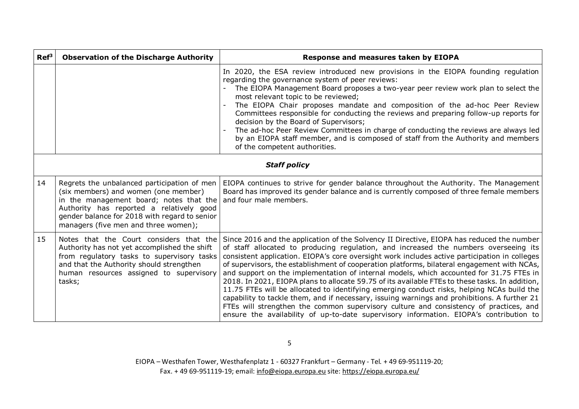| Ref <sup>3</sup>    | <b>Observation of the Discharge Authority</b>                                                                                                                                                                                                                       | Response and measures taken by EIOPA                                                                                                                                                                                                                                                                                                                                                                                                                                                                                                                                                                                                                                                                                                                                                                                                                                                                                                                             |
|---------------------|---------------------------------------------------------------------------------------------------------------------------------------------------------------------------------------------------------------------------------------------------------------------|------------------------------------------------------------------------------------------------------------------------------------------------------------------------------------------------------------------------------------------------------------------------------------------------------------------------------------------------------------------------------------------------------------------------------------------------------------------------------------------------------------------------------------------------------------------------------------------------------------------------------------------------------------------------------------------------------------------------------------------------------------------------------------------------------------------------------------------------------------------------------------------------------------------------------------------------------------------|
|                     |                                                                                                                                                                                                                                                                     | In 2020, the ESA review introduced new provisions in the EIOPA founding regulation<br>regarding the governance system of peer reviews:<br>The EIOPA Management Board proposes a two-year peer review work plan to select the<br>most relevant topic to be reviewed;<br>The EIOPA Chair proposes mandate and composition of the ad-hoc Peer Review<br>Committees responsible for conducting the reviews and preparing follow-up reports for<br>decision by the Board of Supervisors;<br>The ad-hoc Peer Review Committees in charge of conducting the reviews are always led<br>by an EIOPA staff member, and is composed of staff from the Authority and members<br>of the competent authorities.                                                                                                                                                                                                                                                                |
| <b>Staff policy</b> |                                                                                                                                                                                                                                                                     |                                                                                                                                                                                                                                                                                                                                                                                                                                                                                                                                                                                                                                                                                                                                                                                                                                                                                                                                                                  |
| 14                  | Regrets the unbalanced participation of men<br>(six members) and women (one member)<br>in the management board; notes that the<br>Authority has reported a relatively good<br>gender balance for 2018 with regard to senior<br>managers (five men and three women); | EIOPA continues to strive for gender balance throughout the Authority. The Management<br>Board has improved its gender balance and is currently composed of three female members<br>and four male members.                                                                                                                                                                                                                                                                                                                                                                                                                                                                                                                                                                                                                                                                                                                                                       |
| 15                  | Notes that the Court considers that the<br>Authority has not yet accomplished the shift<br>from regulatory tasks to supervisory tasks<br>and that the Authority should strengthen<br>human resources assigned to supervisory<br>tasks;                              | Since 2016 and the application of the Solvency II Directive, EIOPA has reduced the number<br>of staff allocated to producing regulation, and increased the numbers overseeing its<br>consistent application. EIOPA's core oversight work includes active participation in colleges<br>of supervisors, the establishment of cooperation platforms, bilateral engagement with NCAs,<br>and support on the implementation of internal models, which accounted for 31.75 FTEs in<br>2018. In 2021, EIOPA plans to allocate 59.75 of its available FTEs to these tasks. In addition,<br>11.75 FTEs will be allocated to identifying emerging conduct risks, helping NCAs build the<br>capability to tackle them, and if necessary, issuing warnings and prohibitions. A further 21<br>FTEs will strengthen the common supervisory culture and consistency of practices, and<br>ensure the availability of up-to-date supervisory information. EIOPA's contribution to |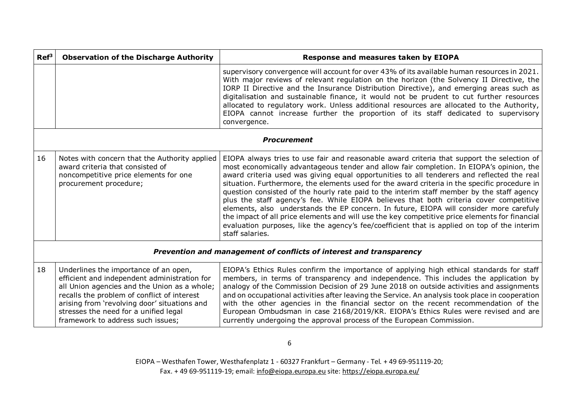| Ref <sup>3</sup>                                                    | <b>Observation of the Discharge Authority</b>                                                                                                                                                                                                                                                                      | <b>Response and measures taken by EIOPA</b>                                                                                                                                                                                                                                                                                                                                                                                                                                                                                                                                                                                                                                                                                                                                                                                                                                                   |
|---------------------------------------------------------------------|--------------------------------------------------------------------------------------------------------------------------------------------------------------------------------------------------------------------------------------------------------------------------------------------------------------------|-----------------------------------------------------------------------------------------------------------------------------------------------------------------------------------------------------------------------------------------------------------------------------------------------------------------------------------------------------------------------------------------------------------------------------------------------------------------------------------------------------------------------------------------------------------------------------------------------------------------------------------------------------------------------------------------------------------------------------------------------------------------------------------------------------------------------------------------------------------------------------------------------|
|                                                                     |                                                                                                                                                                                                                                                                                                                    | supervisory convergence will account for over 43% of its available human resources in 2021.<br>With major reviews of relevant regulation on the horizon (the Solvency II Directive, the<br>IORP II Directive and the Insurance Distribution Directive), and emerging areas such as<br>digitalisation and sustainable finance, it would not be prudent to cut further resources<br>allocated to regulatory work. Unless additional resources are allocated to the Authority,<br>EIOPA cannot increase further the proportion of its staff dedicated to supervisory<br>convergence.                                                                                                                                                                                                                                                                                                             |
| <b>Procurement</b>                                                  |                                                                                                                                                                                                                                                                                                                    |                                                                                                                                                                                                                                                                                                                                                                                                                                                                                                                                                                                                                                                                                                                                                                                                                                                                                               |
| 16                                                                  | Notes with concern that the Authority applied<br>award criteria that consisted of<br>noncompetitive price elements for one<br>procurement procedure;                                                                                                                                                               | EIOPA always tries to use fair and reasonable award criteria that support the selection of<br>most economically advantageous tender and allow fair completion. In EIOPA's opinion, the<br>award criteria used was giving equal opportunities to all tenderers and reflected the real<br>situation. Furthermore, the elements used for the award criteria in the specific procedure in<br>question consisted of the hourly rate paid to the interim staff member by the staff agency<br>plus the staff agency's fee. While EIOPA believes that both criteria cover competitive<br>elements, also understands the EP concern. In future, EIOPA will consider more carefuly<br>the impact of all price elements and will use the key competitive price elements for financial<br>evaluation purposes, like the agency's fee/coefficient that is applied on top of the interim<br>staff salaries. |
| Prevention and management of conflicts of interest and transparency |                                                                                                                                                                                                                                                                                                                    |                                                                                                                                                                                                                                                                                                                                                                                                                                                                                                                                                                                                                                                                                                                                                                                                                                                                                               |
| 18                                                                  | Underlines the importance of an open,<br>efficient and independent administration for<br>all Union agencies and the Union as a whole;<br>recalls the problem of conflict of interest<br>arising from 'revolving door' situations and<br>stresses the need for a unified legal<br>framework to address such issues; | EIOPA's Ethics Rules confirm the importance of applying high ethical standards for staff<br>members, in terms of transparency and independence. This includes the application by<br>analogy of the Commission Decision of 29 June 2018 on outside activities and assignments<br>and on occupational activities after leaving the Service. An analysis took place in cooperation<br>with the other agencies in the financial sector on the recent recommendation of the<br>European Ombudsman in case 2168/2019/KR. EIOPA's Ethics Rules were revised and are<br>currently undergoing the approval process of the European Commission.                                                                                                                                                                                                                                                         |